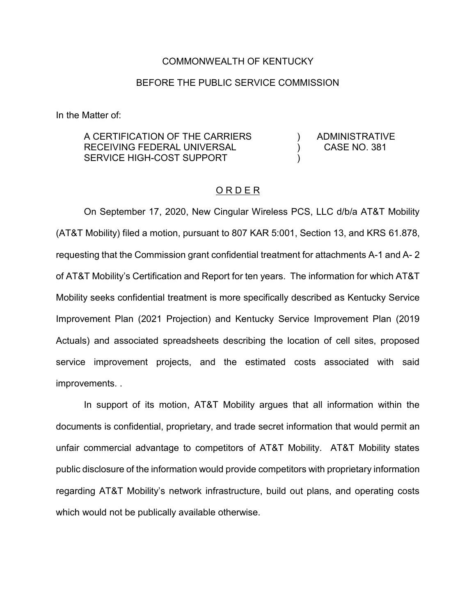## COMMONWEALTH OF KENTUCKY

## BEFORE THE PUBLIC SERVICE COMMISSION

In the Matter of:

A CERTIFICATION OF THE CARRIERS RECEIVING FEDERAL UNIVERSAL SERVICE HIGH-COST SUPPORT

ADMINISTRATIVE CASE NO. 381

 $\lambda$  $\lambda$ )

## O R D E R

On September 17, 2020, New Cingular Wireless PCS, LLC d/b/a AT&T Mobility (AT&T Mobility) filed a motion, pursuant to 807 KAR 5:001, Section 13, and KRS 61.878, requesting that the Commission grant confidential treatment for attachments A-1 and A- 2 of AT&T Mobility's Certification and Report for ten years. The information for which AT&T Mobility seeks confidential treatment is more specifically described as Kentucky Service Improvement Plan (2021 Projection) and Kentucky Service Improvement Plan (2019 Actuals) and associated spreadsheets describing the location of cell sites, proposed service improvement projects, and the estimated costs associated with said improvements. .

In support of its motion, AT&T Mobility argues that all information within the documents is confidential, proprietary, and trade secret information that would permit an unfair commercial advantage to competitors of AT&T Mobility. AT&T Mobility states public disclosure of the information would provide competitors with proprietary information regarding AT&T Mobility's network infrastructure, build out plans, and operating costs which would not be publically available otherwise.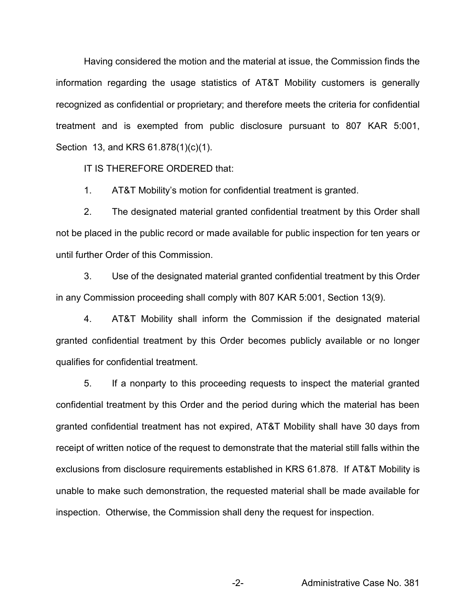Having considered the motion and the material at issue, the Commission finds the information regarding the usage statistics of AT&T Mobility customers is generally recognized as confidential or proprietary; and therefore meets the criteria for confidential treatment and is exempted from public disclosure pursuant to 807 KAR 5:001, Section 13, and KRS 61.878(1)(c)(1).

IT IS THEREFORE ORDERED that:

1. AT&T Mobility's motion for confidential treatment is granted.

2. The designated material granted confidential treatment by this Order shall not be placed in the public record or made available for public inspection for ten years or until further Order of this Commission.

3. Use of the designated material granted confidential treatment by this Order in any Commission proceeding shall comply with 807 KAR 5:001, Section 13(9).

4. AT&T Mobility shall inform the Commission if the designated material granted confidential treatment by this Order becomes publicly available or no longer qualifies for confidential treatment.

5. If a nonparty to this proceeding requests to inspect the material granted confidential treatment by this Order and the period during which the material has been granted confidential treatment has not expired, AT&T Mobility shall have 30 days from receipt of written notice of the request to demonstrate that the material still falls within the exclusions from disclosure requirements established in KRS 61.878. If AT&T Mobility is unable to make such demonstration, the requested material shall be made available for inspection. Otherwise, the Commission shall deny the request for inspection.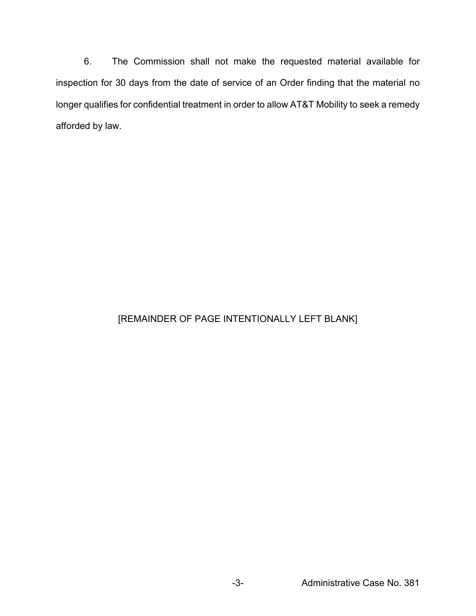6. The Commission shall not make the requested material available for inspection for 30 days from the date of service of an Order finding that the material no longer qualifies for confidential treatment in order to allow AT&T Mobility to seek a remedy afforded by law.

## [REMAINDER OF PAGE INTENTIONALLY LEFT BLANK]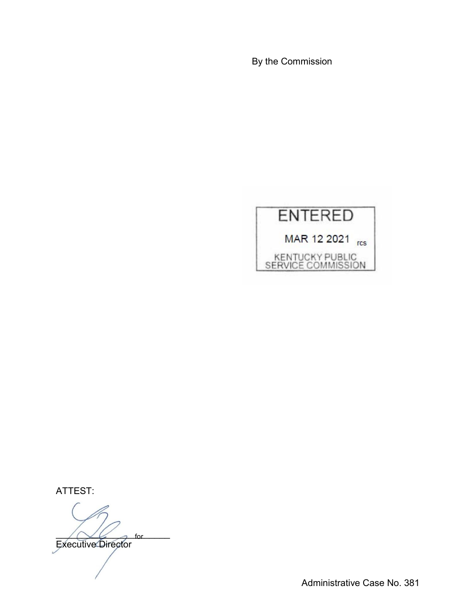By the Commission



ATTEST:

 $\bigwedge \bigvee \bigvee$  of  $\bigwedge$ Executive Director for

Administrative Case No. 381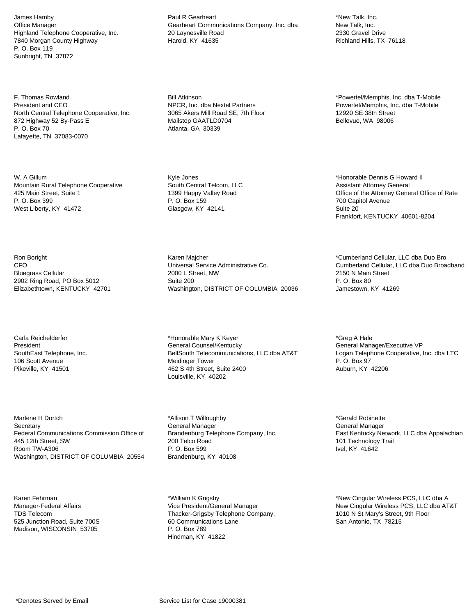James Hamby Office Manager Highland Telephone Cooperative, Inc. 7840 Morgan County Highway P. O. Box 119 Sunbright, TN 37872

F. Thomas Rowland President and CEO North Central Telephone Cooperative, Inc. 872 Highway 52 By-Pass E P. O. Box 70 Lafayette, TN 37083-0070

W. A Gillum Mountain Rural Telephone Cooperative 425 Main Street, Suite 1 P. O. Box 399 West Liberty, KY 41472

Ron Boright CFO Bluegrass Cellular 2902 Ring Road, PO Box 5012 Elizabethtown, KENTUCKY 42701

Carla Reichelderfer President SouthEast Telephone, Inc. 106 Scott Avenue Pikeville, KY 41501

Marlene H Dortch **Secretary** Federal Communications Commission Office of 445 12th Street, SW Room TW-A306 Washington, DISTRICT OF COLUMBIA 20554

Karen Fehrman Manager-Federal Affairs TDS Telecom 525 Junction Road, Suite 700S Madison, WISCONSIN 53705

Paul R Gearheart Gearheart Communications Company, Inc. dba 20 Laynesville Road Harold, KY 41635

Bill Atkinson NPCR, Inc. dba Nextel Partners 3065 Akers Mill Road SE, 7th Floor Mailstop GAATLD0704 Atlanta, GA 30339

Kyle Jones South Central Telcom, LLC 1399 Happy Valley Road P. O. Box 159 Glasgow, KY 42141

Karen Majcher Universal Service Administrative Co. 2000 L Street, NW Suite 200 Washington, DISTRICT OF COLUMBIA 20036

\*Honorable Mary K Keyer General Counsel/Kentucky BellSouth Telecommunications, LLC dba AT&T Meidinger Tower 462 S 4th Street, Suite 2400 Louisville, KY 40202

\*Allison T Willoughby General Manager Brandenburg Telephone Company, Inc. 200 Telco Road P. O. Box 599 Brandenburg, KY 40108

\*William K Grigsby Vice President/General Manager Thacker-Grigsby Telephone Company, 60 Communications Lane P. O. Box 789 Hindman, KY 41822

\*New Talk, Inc. New Talk, Inc. 2330 Gravel Drive Richland Hills, TX 76118

\*Powertel/Memphis, Inc. dba T-Mobile Powertel/Memphis, Inc. dba T-Mobile 12920 SE 38th Street Bellevue, WA 98006

\*Honorable Dennis G Howard II Assistant Attorney General Office of the Attorney General Office of Rate 700 Capitol Avenue Suite 20 Frankfort, KENTUCKY 40601-8204

\*Cumberland Cellular, LLC dba Duo Bro Cumberland Cellular, LLC dba Duo Broadband 2150 N Main Street P. O. Box 80 Jamestown, KY 41269

\*Greg A Hale General Manager/Executive VP Logan Telephone Cooperative, Inc. dba LTC P. O. Box 97 Auburn, KY 42206

\*Gerald Robinette General Manager East Kentucky Network, LLC dba Appalachian 101 Technology Trail Ivel, KY 41642

\*New Cingular Wireless PCS, LLC dba A New Cingular Wireless PCS, LLC dba AT&T 1010 N St Mary's Street, 9th Floor San Antonio, TX 78215